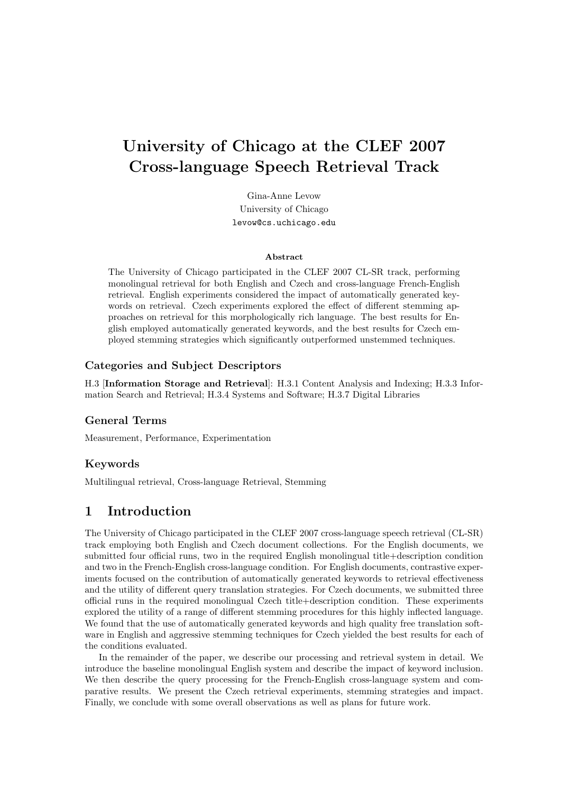# University of Chicago at the CLEF 2007 Cross-language Speech Retrieval Track

Gina-Anne Levow University of Chicago levow@cs.uchicago.edu

#### Abstract

The University of Chicago participated in the CLEF 2007 CL-SR track, performing monolingual retrieval for both English and Czech and cross-language French-English retrieval. English experiments considered the impact of automatically generated keywords on retrieval. Czech experiments explored the effect of different stemming approaches on retrieval for this morphologically rich language. The best results for English employed automatically generated keywords, and the best results for Czech employed stemming strategies which significantly outperformed unstemmed techniques.

#### Categories and Subject Descriptors

H.3 [Information Storage and Retrieval]: H.3.1 Content Analysis and Indexing; H.3.3 Information Search and Retrieval; H.3.4 Systems and Software; H.3.7 Digital Libraries

#### General Terms

Measurement, Performance, Experimentation

#### Keywords

Multilingual retrieval, Cross-language Retrieval, Stemming

# 1 Introduction

The University of Chicago participated in the CLEF 2007 cross-language speech retrieval (CL-SR) track employing both English and Czech document collections. For the English documents, we submitted four official runs, two in the required English monolingual title+description condition and two in the French-English cross-language condition. For English documents, contrastive experiments focused on the contribution of automatically generated keywords to retrieval effectiveness and the utility of different query translation strategies. For Czech documents, we submitted three official runs in the required monolingual Czech title+description condition. These experiments explored the utility of a range of different stemming procedures for this highly inflected language. We found that the use of automatically generated keywords and high quality free translation software in English and aggressive stemming techniques for Czech yielded the best results for each of the conditions evaluated.

In the remainder of the paper, we describe our processing and retrieval system in detail. We introduce the baseline monolingual English system and describe the impact of keyword inclusion. We then describe the query processing for the French-English cross-language system and comparative results. We present the Czech retrieval experiments, stemming strategies and impact. Finally, we conclude with some overall observations as well as plans for future work.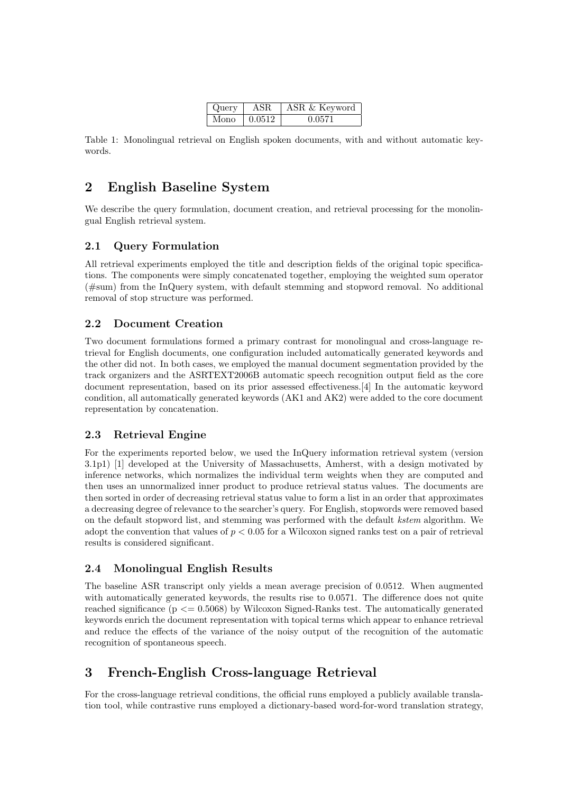| Query | ASR.         | ASR & Keyword |  |
|-------|--------------|---------------|--|
| Mono  | $\pm 0.0512$ | 0.0571        |  |

Table 1: Monolingual retrieval on English spoken documents, with and without automatic keywords.

# 2 English Baseline System

We describe the query formulation, document creation, and retrieval processing for the monolingual English retrieval system.

### 2.1 Query Formulation

All retrieval experiments employed the title and description fields of the original topic specifications. The components were simply concatenated together, employing the weighted sum operator (#sum) from the InQuery system, with default stemming and stopword removal. No additional removal of stop structure was performed.

# 2.2 Document Creation

Two document formulations formed a primary contrast for monolingual and cross-language retrieval for English documents, one configuration included automatically generated keywords and the other did not. In both cases, we employed the manual document segmentation provided by the track organizers and the ASRTEXT2006B automatic speech recognition output field as the core document representation, based on its prior assessed effectiveness.[4] In the automatic keyword condition, all automatically generated keywords (AK1 and AK2) were added to the core document representation by concatenation.

#### 2.3 Retrieval Engine

For the experiments reported below, we used the InQuery information retrieval system (version 3.1p1) [1] developed at the University of Massachusetts, Amherst, with a design motivated by inference networks, which normalizes the individual term weights when they are computed and then uses an unnormalized inner product to produce retrieval status values. The documents are then sorted in order of decreasing retrieval status value to form a list in an order that approximates a decreasing degree of relevance to the searcher's query. For English, stopwords were removed based on the default stopword list, and stemming was performed with the default kstem algorithm. We adopt the convention that values of  $p < 0.05$  for a Wilcoxon signed ranks test on a pair of retrieval results is considered significant.

# 2.4 Monolingual English Results

The baseline ASR transcript only yields a mean average precision of 0.0512. When augmented with automatically generated keywords, the results rise to 0.0571. The difference does not quite reached significance ( $p \le 0.5068$ ) by Wilcoxon Signed-Ranks test. The automatically generated keywords enrich the document representation with topical terms which appear to enhance retrieval and reduce the effects of the variance of the noisy output of the recognition of the automatic recognition of spontaneous speech.

# 3 French-English Cross-language Retrieval

For the cross-language retrieval conditions, the official runs employed a publicly available translation tool, while contrastive runs employed a dictionary-based word-for-word translation strategy,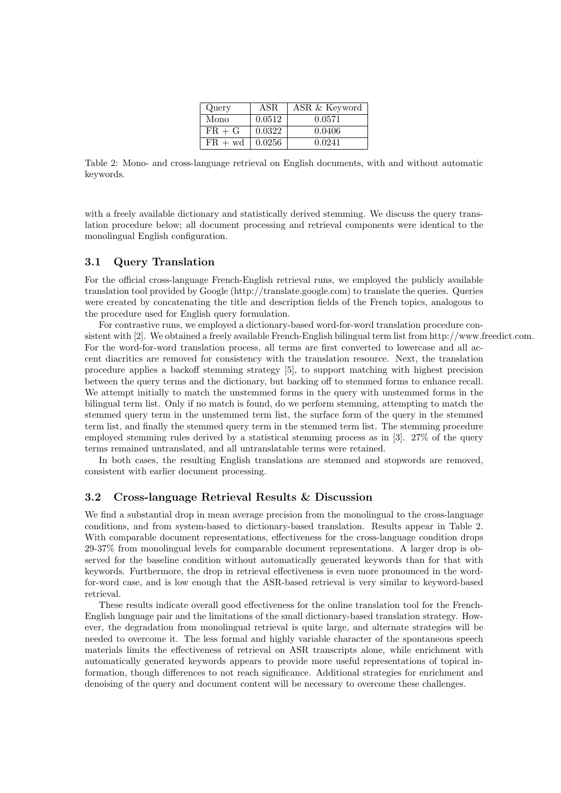| Query     | ASR.   | ASR & Keyword |
|-----------|--------|---------------|
| Mono      | 0.0512 | 0.0571        |
| $FR + G$  | 0.0322 | 0.0406        |
| $FR + wd$ | 0.0256 | 0.0241        |

Table 2: Mono- and cross-language retrieval on English documents, with and without automatic keywords.

with a freely available dictionary and statistically derived stemming. We discuss the query translation procedure below; all document processing and retrieval components were identical to the monolingual English configuration.

#### 3.1 Query Translation

For the official cross-language French-English retrieval runs, we employed the publicly available translation tool provided by Google (http://translate.google.com) to translate the queries. Queries were created by concatenating the title and description fields of the French topics, analogous to the procedure used for English query formulation.

For contrastive runs, we employed a dictionary-based word-for-word translation procedure consistent with [2]. We obtained a freely available French-English bilingual term list from http://www.freedict.com. For the word-for-word translation process, all terms are first converted to lowercase and all accent diacritics are removed for consistency with the translation resource. Next, the translation procedure applies a backoff stemming strategy [5], to support matching with highest precision between the query terms and the dictionary, but backing off to stemmed forms to enhance recall. We attempt initially to match the unstemmed forms in the query with unstemmed forms in the bilingual term list. Only if no match is found, do we perform stemming, attempting to match the stemmed query term in the unstemmed term list, the surface form of the query in the stemmed term list, and finally the stemmed query term in the stemmed term list. The stemming procedure employed stemming rules derived by a statistical stemming process as in [3]. 27% of the query terms remained untranslated, and all untranslatable terms were retained.

In both cases, the resulting English translations are stemmed and stopwords are removed, consistent with earlier document processing.

#### 3.2 Cross-language Retrieval Results & Discussion

We find a substantial drop in mean average precision from the monolingual to the cross-language conditions, and from system-based to dictionary-based translation. Results appear in Table 2. With comparable document representations, effectiveness for the cross-language condition drops 29-37% from monolingual levels for comparable document representations. A larger drop is observed for the baseline condition without automatically generated keywords than for that with keywords. Furthermore, the drop in retrieval effectiveness is even more pronounced in the wordfor-word case, and is low enough that the ASR-based retrieval is very similar to keyword-based retrieval.

These results indicate overall good effectiveness for the online translation tool for the French-English language pair and the limitations of the small dictionary-based translation strategy. However, the degradation from monolingual retrieval is quite large, and alternate strategies will be needed to overcome it. The less formal and highly variable character of the spontaneous speech materials limits the effectiveness of retrieval on ASR transcripts alone, while enrichment with automatically generated keywords appears to provide more useful representations of topical information, though differences to not reach significance. Additional strategies for enrichment and denoising of the query and document content will be necessary to overcome these challenges.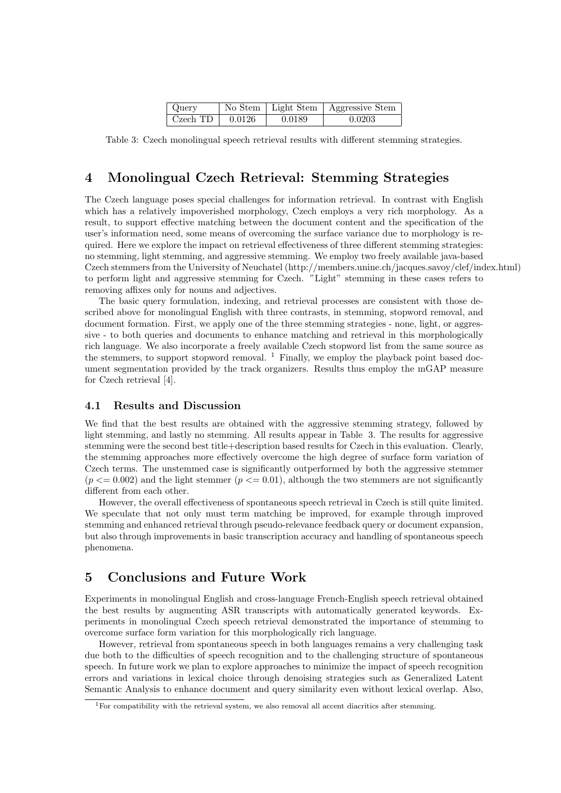| Query    |        |        | No Stem   Light Stem   Aggressive Stem |
|----------|--------|--------|----------------------------------------|
| Czech TD | 0.0126 | 0.0189 | 0.0203                                 |

Table 3: Czech monolingual speech retrieval results with different stemming strategies.

# 4 Monolingual Czech Retrieval: Stemming Strategies

The Czech language poses special challenges for information retrieval. In contrast with English which has a relatively impoverished morphology, Czech employs a very rich morphology. As a result, to support effective matching between the document content and the specification of the user's information need, some means of overcoming the surface variance due to morphology is required. Here we explore the impact on retrieval effectiveness of three different stemming strategies: no stemming, light stemming, and aggressive stemming. We employ two freely available java-based Czech stemmers from the University of Neuchatel (http://members.unine.ch/jacques.savoy/clef/index.html) to perform light and aggressive stemming for Czech. "Light" stemming in these cases refers to removing affixes only for nouns and adjectives.

The basic query formulation, indexing, and retrieval processes are consistent with those described above for monolingual English with three contrasts, in stemming, stopword removal, and document formation. First, we apply one of the three stemming strategies - none, light, or aggressive - to both queries and documents to enhance matching and retrieval in this morphologically rich language. We also incorporate a freely available Czech stopword list from the same source as the stemmers, to support stopword removal.  $1$  Finally, we employ the playback point based document segmentation provided by the track organizers. Results thus employ the mGAP measure for Czech retrieval [4].

#### 4.1 Results and Discussion

We find that the best results are obtained with the aggressive stemming strategy, followed by light stemming, and lastly no stemming. All results appear in Table 3. The results for aggressive stemming were the second best title+description based results for Czech in this evaluation. Clearly, the stemming approaches more effectively overcome the high degree of surface form variation of Czech terms. The unstemmed case is significantly outperformed by both the aggressive stemmer  $(p \le 0.002)$  and the light stemmer  $(p \le 0.01)$ , although the two stemmers are not significantly different from each other.

However, the overall effectiveness of spontaneous speech retrieval in Czech is still quite limited. We speculate that not only must term matching be improved, for example through improved stemming and enhanced retrieval through pseudo-relevance feedback query or document expansion, but also through improvements in basic transcription accuracy and handling of spontaneous speech phenomena.

# 5 Conclusions and Future Work

Experiments in monolingual English and cross-language French-English speech retrieval obtained the best results by augmenting ASR transcripts with automatically generated keywords. Experiments in monolingual Czech speech retrieval demonstrated the importance of stemming to overcome surface form variation for this morphologically rich language.

However, retrieval from spontaneous speech in both languages remains a very challenging task due both to the difficulties of speech recognition and to the challenging structure of spontaneous speech. In future work we plan to explore approaches to minimize the impact of speech recognition errors and variations in lexical choice through denoising strategies such as Generalized Latent Semantic Analysis to enhance document and query similarity even without lexical overlap. Also,

<sup>1</sup>For compatibility with the retrieval system, we also removal all accent diacritics after stemming.